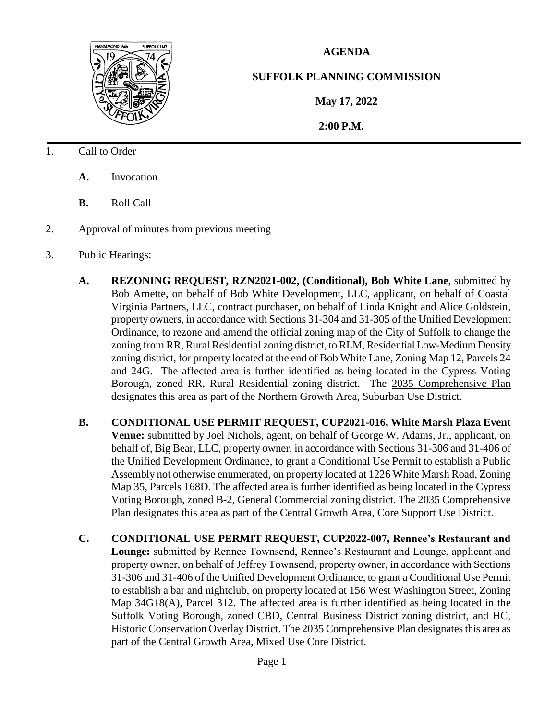

## **AGENDA**

## **SUFFOLK PLANNING COMMISSION**

**May 17, 2022**

 **2:00 P.M.**

- 1. Call to Order
	- **A.** Invocation
	- **B.** Roll Call
- 2. Approval of minutes from previous meeting
- 3. Public Hearings:
	- **A. REZONING REQUEST, RZN2021-002, (Conditional), Bob White Lane**, submitted by Bob Arnette, on behalf of Bob White Development, LLC, applicant, on behalf of Coastal Virginia Partners, LLC, contract purchaser, on behalf of Linda Knight and Alice Goldstein, property owners, in accordance with Sections 31-304 and 31-305 of the Unified Development Ordinance, to rezone and amend the official zoning map of the City of Suffolk to change the zoning from RR, Rural Residential zoning district, to RLM, Residential Low-Medium Density zoning district, for property located at the end of Bob White Lane, Zoning Map 12, Parcels 24 and 24G. The affected area is further identified as being located in the Cypress Voting Borough, zoned RR, Rural Residential zoning district. The 2035 Comprehensive Plan designates this area as part of the Northern Growth Area, Suburban Use District.
	- **B. CONDITIONAL USE PERMIT REQUEST, CUP2021-016, White Marsh Plaza Event Venue:** submitted by Joel Nichols, agent, on behalf of George W. Adams, Jr., applicant, on behalf of, Big Bear, LLC, property owner, in accordance with Sections 31-306 and 31-406 of the Unified Development Ordinance, to grant a Conditional Use Permit to establish a Public Assembly not otherwise enumerated, on property located at 1226 White Marsh Road, Zoning Map 35, Parcels 168D. The affected area is further identified as being located in the Cypress Voting Borough, zoned B-2, General Commercial zoning district. The 2035 Comprehensive Plan designates this area as part of the Central Growth Area, Core Support Use District.
	- **C. CONDITIONAL USE PERMIT REQUEST, CUP2022-007, Rennee's Restaurant and Lounge:** submitted by Rennee Townsend, Rennee's Restaurant and Lounge, applicant and property owner, on behalf of Jeffrey Townsend, property owner, in accordance with Sections 31-306 and 31-406 of the Unified Development Ordinance, to grant a Conditional Use Permit to establish a bar and nightclub, on property located at 156 West Washington Street, Zoning Map 34G18(A), Parcel 312. The affected area is further identified as being located in the Suffolk Voting Borough, zoned CBD, Central Business District zoning district, and HC, Historic Conservation Overlay District. The 2035 Comprehensive Plan designates this area as part of the Central Growth Area, Mixed Use Core District.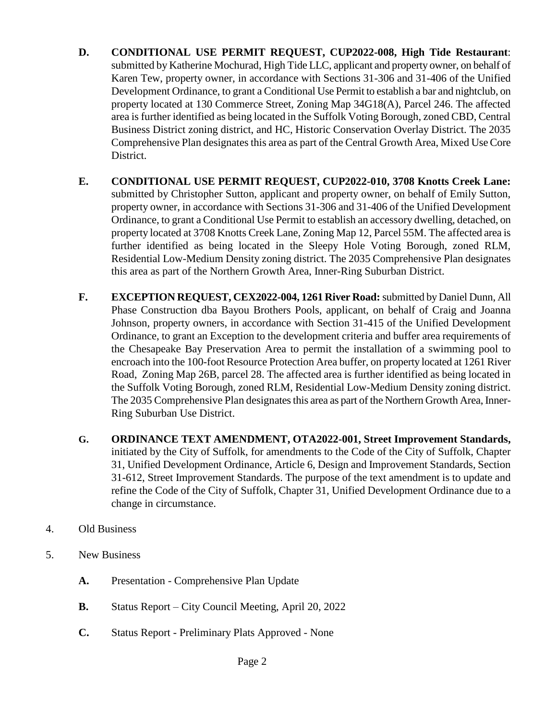- **D. CONDITIONAL USE PERMIT REQUEST, CUP2022-008, High Tide Restaurant**: submitted by Katherine Mochurad, High Tide LLC, applicant and property owner, on behalf of Karen Tew, property owner, in accordance with Sections 31-306 and 31-406 of the Unified Development Ordinance, to grant a Conditional Use Permit to establish a bar and nightclub, on property located at 130 Commerce Street, Zoning Map 34G18(A), Parcel 246. The affected area is further identified as being located in the Suffolk Voting Borough, zoned CBD, Central Business District zoning district, and HC, Historic Conservation Overlay District. The 2035 Comprehensive Plan designates this area as part of the Central Growth Area, Mixed Use Core District.
- **E. CONDITIONAL USE PERMIT REQUEST, CUP2022-010, 3708 Knotts Creek Lane:** submitted by Christopher Sutton, applicant and property owner, on behalf of Emily Sutton, property owner, in accordance with Sections 31-306 and 31-406 of the Unified Development Ordinance, to grant a Conditional Use Permit to establish an accessory dwelling, detached, on property located at 3708 Knotts Creek Lane, Zoning Map 12, Parcel 55M. The affected area is further identified as being located in the Sleepy Hole Voting Borough, zoned RLM, Residential Low-Medium Density zoning district. The 2035 Comprehensive Plan designates this area as part of the Northern Growth Area, Inner-Ring Suburban District.
- **F. EXCEPTION REQUEST, CEX2022-004, 1261 River Road:**submitted byDaniel Dunn, All Phase Construction dba Bayou Brothers Pools, applicant, on behalf of Craig and Joanna Johnson, property owners, in accordance with Section 31-415 of the Unified Development Ordinance, to grant an Exception to the development criteria and buffer area requirements of the Chesapeake Bay Preservation Area to permit the installation of a swimming pool to encroach into the 100-foot Resource Protection Area buffer, on property located at 1261 River Road, Zoning Map 26B, parcel 28. The affected area is further identified as being located in the Suffolk Voting Borough, zoned RLM, Residential Low-Medium Density zoning district. The 2035 Comprehensive Plan designates this area as part of the Northern Growth Area, Inner-Ring Suburban Use District.
- **G. ORDINANCE TEXT AMENDMENT, OTA2022-001, Street Improvement Standards,**  initiated by the City of Suffolk, for amendments to the Code of the City of Suffolk, Chapter 31, Unified Development Ordinance, Article 6, Design and Improvement Standards, Section 31-612, Street Improvement Standards. The purpose of the text amendment is to update and refine the Code of the City of Suffolk, Chapter 31, Unified Development Ordinance due to a change in circumstance.
- 4. Old Business
- 5. New Business
	- **A.** Presentation Comprehensive Plan Update
	- **B.** Status Report City Council Meeting, April 20, 2022
	- **C.** Status Report Preliminary Plats Approved None